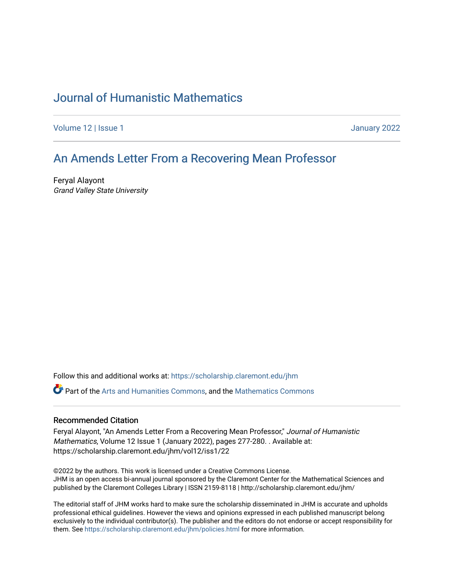# [Journal of Humanistic Mathematics](https://scholarship.claremont.edu/jhm)

[Volume 12](https://scholarship.claremont.edu/jhm/vol12) | Issue 1 January 2022

### [An Amends Letter From a Reco](https://scholarship.claremont.edu/jhm/vol12/iss1/22)vering Mean Professor

Feryal Alayont Grand Valley State University

Follow this and additional works at: [https://scholarship.claremont.edu/jhm](https://scholarship.claremont.edu/jhm?utm_source=scholarship.claremont.edu%2Fjhm%2Fvol12%2Fiss1%2F22&utm_medium=PDF&utm_campaign=PDFCoverPages)

Part of the [Arts and Humanities Commons,](http://network.bepress.com/hgg/discipline/438?utm_source=scholarship.claremont.edu%2Fjhm%2Fvol12%2Fiss1%2F22&utm_medium=PDF&utm_campaign=PDFCoverPages) and the [Mathematics Commons](http://network.bepress.com/hgg/discipline/174?utm_source=scholarship.claremont.edu%2Fjhm%2Fvol12%2Fiss1%2F22&utm_medium=PDF&utm_campaign=PDFCoverPages) 

#### Recommended Citation

Feryal Alayont, "An Amends Letter From a Recovering Mean Professor," Journal of Humanistic Mathematics, Volume 12 Issue 1 (January 2022), pages 277-280. . Available at: https://scholarship.claremont.edu/jhm/vol12/iss1/22

©2022 by the authors. This work is licensed under a Creative Commons License. JHM is an open access bi-annual journal sponsored by the Claremont Center for the Mathematical Sciences and published by the Claremont Colleges Library | ISSN 2159-8118 | http://scholarship.claremont.edu/jhm/

The editorial staff of JHM works hard to make sure the scholarship disseminated in JHM is accurate and upholds professional ethical guidelines. However the views and opinions expressed in each published manuscript belong exclusively to the individual contributor(s). The publisher and the editors do not endorse or accept responsibility for them. See<https://scholarship.claremont.edu/jhm/policies.html> for more information.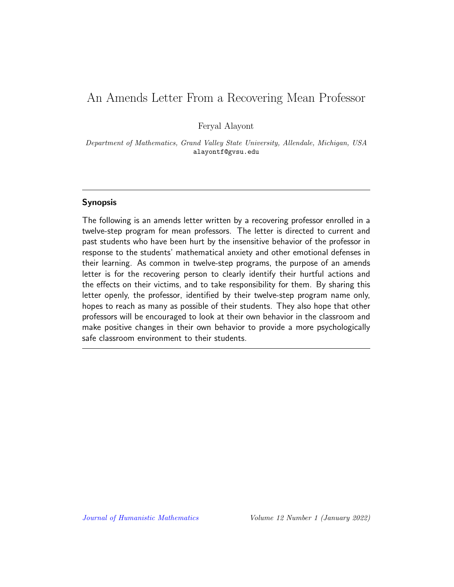## An Amends Letter From a Recovering Mean Professor

Feryal Alayont

Department of Mathematics, Grand Valley State University, Allendale, Michigan, USA alayontf@gvsu.edu

### Synopsis

The following is an amends letter written by a recovering professor enrolled in a twelve-step program for mean professors. The letter is directed to current and past students who have been hurt by the insensitive behavior of the professor in response to the students' mathematical anxiety and other emotional defenses in their learning. As common in twelve-step programs, the purpose of an amends letter is for the recovering person to clearly identify their hurtful actions and the effects on their victims, and to take responsibility for them. By sharing this letter openly, the professor, identified by their twelve-step program name only, hopes to reach as many as possible of their students. They also hope that other professors will be encouraged to look at their own behavior in the classroom and make positive changes in their own behavior to provide a more psychologically safe classroom environment to their students.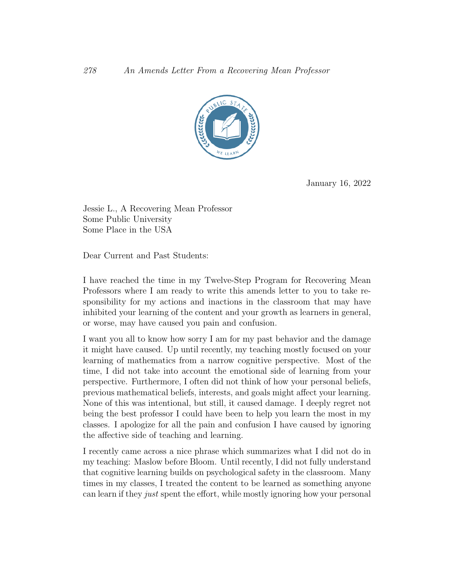

January 16, 2022

Jessie L., A Recovering Mean Professor Some Public University Some Place in the USA

Dear Current and Past Students:

I have reached the time in my Twelve-Step Program for Recovering Mean Professors where I am ready to write this amends letter to you to take responsibility for my actions and inactions in the classroom that may have inhibited your learning of the content and your growth as learners in general, or worse, may have caused you pain and confusion.

I want you all to know how sorry I am for my past behavior and the damage it might have caused. Up until recently, my teaching mostly focused on your learning of mathematics from a narrow cognitive perspective. Most of the time, I did not take into account the emotional side of learning from your perspective. Furthermore, I often did not think of how your personal beliefs, previous mathematical beliefs, interests, and goals might affect your learning. None of this was intentional, but still, it caused damage. I deeply regret not being the best professor I could have been to help you learn the most in my classes. I apologize for all the pain and confusion I have caused by ignoring the affective side of teaching and learning.

I recently came across a nice phrase which summarizes what I did not do in my teaching: Maslow before Bloom. Until recently, I did not fully understand that cognitive learning builds on psychological safety in the classroom. Many times in my classes, I treated the content to be learned as something anyone can learn if they just spent the effort, while mostly ignoring how your personal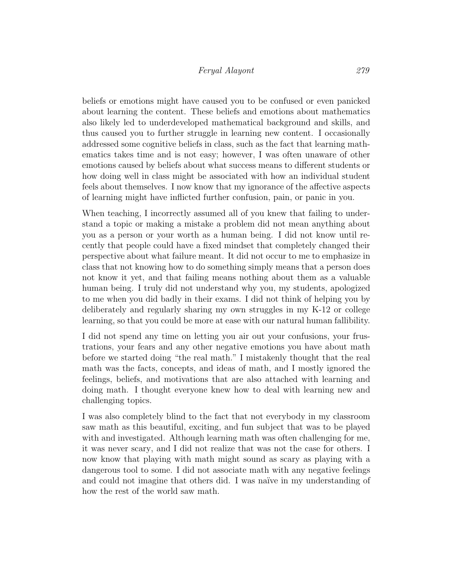### Feryal Alayont 279

beliefs or emotions might have caused you to be confused or even panicked about learning the content. These beliefs and emotions about mathematics also likely led to underdeveloped mathematical background and skills, and thus caused you to further struggle in learning new content. I occasionally addressed some cognitive beliefs in class, such as the fact that learning mathematics takes time and is not easy; however, I was often unaware of other emotions caused by beliefs about what success means to different students or how doing well in class might be associated with how an individual student feels about themselves. I now know that my ignorance of the affective aspects of learning might have inflicted further confusion, pain, or panic in you.

When teaching, I incorrectly assumed all of you knew that failing to understand a topic or making a mistake a problem did not mean anything about you as a person or your worth as a human being. I did not know until recently that people could have a fixed mindset that completely changed their perspective about what failure meant. It did not occur to me to emphasize in class that not knowing how to do something simply means that a person does not know it yet, and that failing means nothing about them as a valuable human being. I truly did not understand why you, my students, apologized to me when you did badly in their exams. I did not think of helping you by deliberately and regularly sharing my own struggles in my K-12 or college learning, so that you could be more at ease with our natural human fallibility.

I did not spend any time on letting you air out your confusions, your frustrations, your fears and any other negative emotions you have about math before we started doing "the real math." I mistakenly thought that the real math was the facts, concepts, and ideas of math, and I mostly ignored the feelings, beliefs, and motivations that are also attached with learning and doing math. I thought everyone knew how to deal with learning new and challenging topics.

I was also completely blind to the fact that not everybody in my classroom saw math as this beautiful, exciting, and fun subject that was to be played with and investigated. Although learning math was often challenging for me, it was never scary, and I did not realize that was not the case for others. I now know that playing with math might sound as scary as playing with a dangerous tool to some. I did not associate math with any negative feelings and could not imagine that others did. I was naïve in my understanding of how the rest of the world saw math.